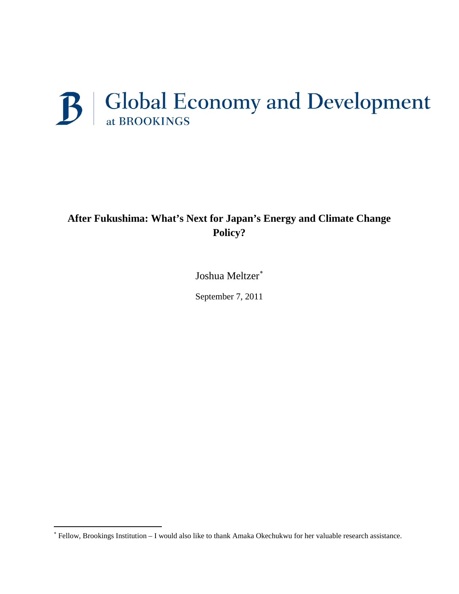# B | Global Economy and Development

# **After Fukushima: What's Next for Japan's Energy and Climate Change Policy?**

Joshua Meltzer<sup>\*</sup>

September 7, 2011

ı

<span id="page-0-0"></span><sup>∗</sup> Fellow, Brookings Institution – I would also like to thank Amaka Okechukwu for her valuable research assistance.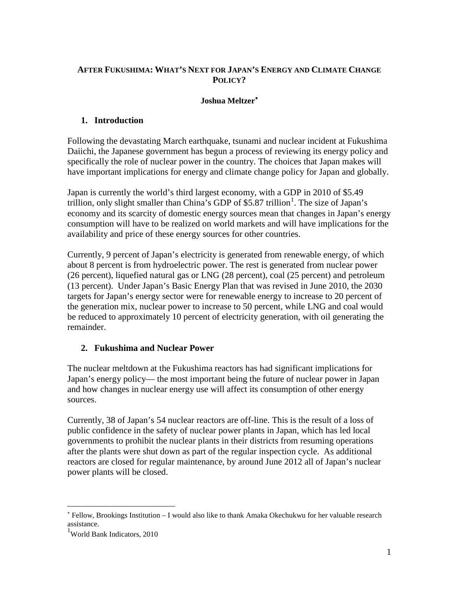### **AFTER FUKUSHIMA: WHAT'S NEXT FOR JAPAN'S ENERGY AND CLIMATE CHANGE POLICY?**

#### **Joshua Meltzer**[∗](#page-1-0)

# **1. Introduction**

Following the devastating March earthquake, tsunami and nuclear incident at Fukushima Daiichi, the Japanese government has begun a process of reviewing its energy policy and specifically the role of nuclear power in the country. The choices that Japan makes will have important implications for energy and climate change policy for Japan and globally.

Japan is currently the world's third largest economy, with a GDP in 2010 of \$5.49 trillion, only slight smaller than China's GDP of \$5.87 trillion<sup>[1](#page-1-1)</sup>. The size of Japan's economy and its scarcity of domestic energy sources mean that changes in Japan's energy consumption will have to be realized on world markets and will have implications for the availability and price of these energy sources for other countries.

Currently, 9 percent of Japan's electricity is generated from renewable energy, of which about 8 percent is from hydroelectric power. The rest is generated from nuclear power (26 percent), liquefied natural gas or LNG (28 percent), coal (25 percent) and petroleum (13 percent). Under Japan's Basic Energy Plan that was revised in June 2010, the 2030 targets for Japan's energy sector were for renewable energy to increase to 20 percent of the generation mix, nuclear power to increase to 50 percent, while LNG and coal would be reduced to approximately 10 percent of electricity generation, with oil generating the remainder.

# **2. Fukushima and Nuclear Power**

The nuclear meltdown at the Fukushima reactors has had significant implications for Japan's energy policy— the most important being the future of nuclear power in Japan and how changes in nuclear energy use will affect its consumption of other energy sources.

Currently, 38 of Japan's 54 nuclear reactors are off-line. This is the result of a loss of public confidence in the safety of nuclear power plants in Japan, which has led local governments to prohibit the nuclear plants in their districts from resuming operations after the plants were shut down as part of the regular inspection cycle. As additional reactors are closed for regular maintenance, by around June 2012 all of Japan's nuclear power plants will be closed.

 $\overline{a}$ 

<span id="page-1-0"></span><sup>∗</sup> Fellow, Brookings Institution – I would also like to thank Amaka Okechukwu for her valuable research assistance.

<span id="page-1-1"></span><sup>1</sup> World Bank Indicators, 2010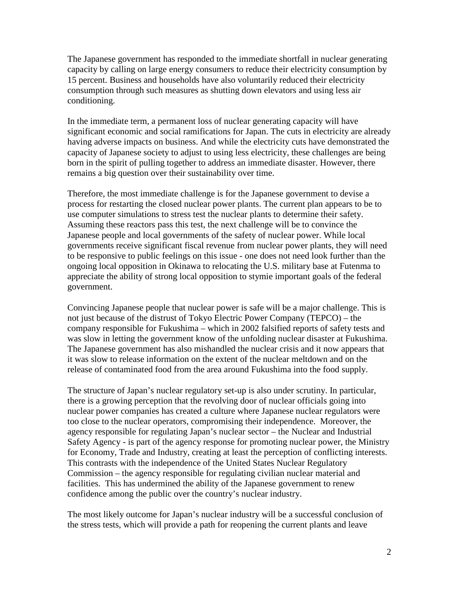The Japanese government has responded to the immediate shortfall in nuclear generating capacity by calling on large energy consumers to reduce their electricity consumption by 15 percent. Business and households have also voluntarily reduced their electricity consumption through such measures as shutting down elevators and using less air conditioning.

In the immediate term, a permanent loss of nuclear generating capacity will have significant economic and social ramifications for Japan. The cuts in electricity are already having adverse impacts on business. And while the electricity cuts have demonstrated the capacity of Japanese society to adjust to using less electricity, these challenges are being born in the spirit of pulling together to address an immediate disaster. However, there remains a big question over their sustainability over time.

Therefore, the most immediate challenge is for the Japanese government to devise a process for restarting the closed nuclear power plants. The current plan appears to be to use computer simulations to stress test the nuclear plants to determine their safety. Assuming these reactors pass this test, the next challenge will be to convince the Japanese people and local governments of the safety of nuclear power. While local governments receive significant fiscal revenue from nuclear power plants, they will need to be responsive to public feelings on this issue - one does not need look further than the ongoing local opposition in Okinawa to relocating the U.S. military base at Futenma to appreciate the ability of strong local opposition to stymie important goals of the federal government.

Convincing Japanese people that nuclear power is safe will be a major challenge. This is not just because of the distrust of Tokyo Electric Power Company (TEPCO) – the company responsible for Fukushima – which in 2002 falsified reports of safety tests and was slow in letting the government know of the unfolding nuclear disaster at Fukushima. The Japanese government has also mishandled the nuclear crisis and it now appears that it was slow to release information on the extent of the nuclear meltdown and on the release of contaminated food from the area around Fukushima into the food supply.

The structure of Japan's nuclear regulatory set-up is also under scrutiny. In particular, there is a growing perception that the revolving door of nuclear officials going into nuclear power companies has created a culture where Japanese nuclear regulators were too close to the nuclear operators, compromising their independence. Moreover, the agency responsible for regulating Japan's nuclear sector – the Nuclear and Industrial Safety Agency - is part of the agency response for promoting nuclear power, the Ministry for Economy, Trade and Industry, creating at least the perception of conflicting interests. This contrasts with the independence of the United States Nuclear Regulatory Commission – the agency responsible for regulating civilian nuclear material and facilities. This has undermined the ability of the Japanese government to renew confidence among the public over the country's nuclear industry.

The most likely outcome for Japan's nuclear industry will be a successful conclusion of the stress tests, which will provide a path for reopening the current plants and leave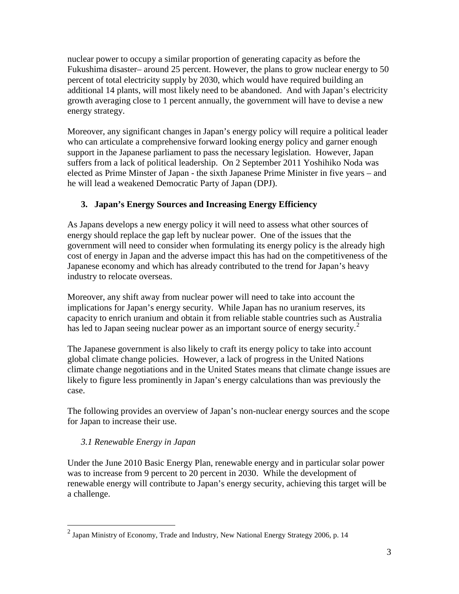nuclear power to occupy a similar proportion of generating capacity as before the Fukushima disaster– around 25 percent. However, the plans to grow nuclear energy to 50 percent of total electricity supply by 2030, which would have required building an additional 14 plants, will most likely need to be abandoned. And with Japan's electricity growth averaging close to 1 percent annually, the government will have to devise a new energy strategy.

Moreover, any significant changes in Japan's energy policy will require a political leader who can articulate a comprehensive forward looking energy policy and garner enough support in the Japanese parliament to pass the necessary legislation. However, Japan suffers from a lack of political leadership. On 2 September 2011 Yoshihiko Noda was elected as Prime Minster of Japan - the sixth Japanese Prime Minister in five years – and he will lead a weakened Democratic Party of Japan (DPJ).

# **3. Japan's Energy Sources and Increasing Energy Efficiency**

As Japans develops a new energy policy it will need to assess what other sources of energy should replace the gap left by nuclear power. One of the issues that the government will need to consider when formulating its energy policy is the already high cost of energy in Japan and the adverse impact this has had on the competitiveness of the Japanese economy and which has already contributed to the trend for Japan's heavy industry to relocate overseas.

Moreover, any shift away from nuclear power will need to take into account the implications for Japan's energy security. While Japan has no uranium reserves, its capacity to enrich uranium and obtain it from reliable stable countries such as Australia has led to Japan seeing nuclear power as an important source of energy security.<sup>[2](#page-3-0)</sup>

The Japanese government is also likely to craft its energy policy to take into account global climate change policies. However, a lack of progress in the United Nations climate change negotiations and in the United States means that climate change issues are likely to figure less prominently in Japan's energy calculations than was previously the case.

The following provides an overview of Japan's non-nuclear energy sources and the scope for Japan to increase their use.

# *3.1 Renewable Energy in Japan*

Under the June 2010 Basic Energy Plan, renewable energy and in particular solar power was to increase from 9 percent to 20 percent in 2030. While the development of renewable energy will contribute to Japan's energy security, achieving this target will be a challenge.

<span id="page-3-0"></span> $2$  Japan Ministry of Economy, Trade and Industry, New National Energy Strategy 2006, p. 14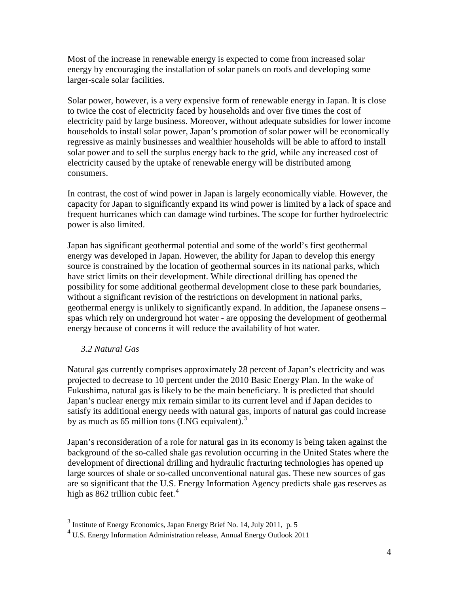Most of the increase in renewable energy is expected to come from increased solar energy by encouraging the installation of solar panels on roofs and developing some larger-scale solar facilities.

Solar power, however, is a very expensive form of renewable energy in Japan. It is close to twice the cost of electricity faced by households and over five times the cost of electricity paid by large business. Moreover, without adequate subsidies for lower income households to install solar power, Japan's promotion of solar power will be economically regressive as mainly businesses and wealthier households will be able to afford to install solar power and to sell the surplus energy back to the grid, while any increased cost of electricity caused by the uptake of renewable energy will be distributed among consumers.

In contrast, the cost of wind power in Japan is largely economically viable. However, the capacity for Japan to significantly expand its wind power is limited by a lack of space and frequent hurricanes which can damage wind turbines. The scope for further hydroelectric power is also limited.

Japan has significant geothermal potential and some of the world's first geothermal energy was developed in Japan. However, the ability for Japan to develop this energy source is constrained by the location of geothermal sources in its national parks, which have strict limits on their development. While directional drilling has opened the possibility for some additional geothermal development close to these park boundaries, without a significant revision of the restrictions on development in national parks, geothermal energy is unlikely to significantly expand. In addition, the Japanese onsens – spas which rely on underground hot water - are opposing the development of geothermal energy because of concerns it will reduce the availability of hot water.

### *3.2 Natural Gas*

Natural gas currently comprises approximately 28 percent of Japan's electricity and was projected to decrease to 10 percent under the 2010 Basic Energy Plan. In the wake of Fukushima, natural gas is likely to be the main beneficiary. It is predicted that should Japan's nuclear energy mix remain similar to its current level and if Japan decides to satisfy its additional energy needs with natural gas, imports of natural gas could increase by as much as 65 million tons (LNG equivalent).<sup>[3](#page-4-0)</sup>

Japan's reconsideration of a role for natural gas in its economy is being taken against the background of the so-called shale gas revolution occurring in the United States where the development of directional drilling and hydraulic fracturing technologies has opened up large sources of shale or so-called unconventional natural gas. These new sources of gas are so significant that the U.S. Energy Information Agency predicts shale gas reserves as high as 862 trillion cubic feet.<sup>[4](#page-4-1)</sup>

<span id="page-4-0"></span> <sup>3</sup> Institute of Energy Economics, Japan Energy Brief No. 14, July 2011, p. 5

<span id="page-4-1"></span><sup>4</sup> U.S. Energy Information Administration release, Annual Energy Outlook 2011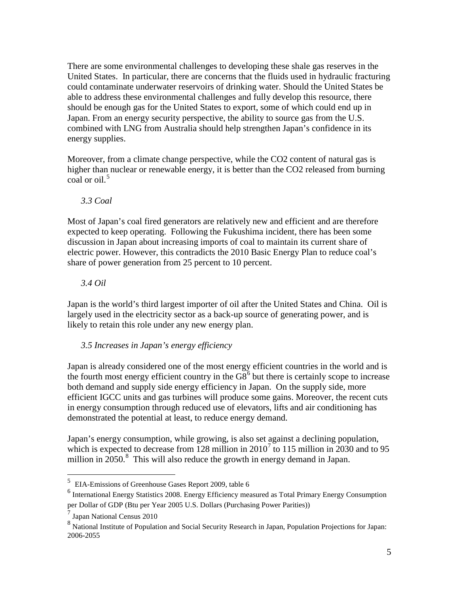There are some environmental challenges to developing these shale gas reserves in the United States. In particular, there are concerns that the fluids used in hydraulic fracturing could contaminate underwater reservoirs of drinking water. Should the United States be able to address these environmental challenges and fully develop this resource, there should be enough gas for the United States to export, some of which could end up in Japan. From an energy security perspective, the ability to source gas from the U.S. combined with LNG from Australia should help strengthen Japan's confidence in its energy supplies.

Moreover, from a climate change perspective, while the CO2 content of natural gas is higher than nuclear or renewable energy, it is better than the CO2 released from burning coal or oil. [5](#page-5-0)

*3.3 Coal*

Most of Japan's coal fired generators are relatively new and efficient and are therefore expected to keep operating. Following the Fukushima incident, there has been some discussion in Japan about increasing imports of coal to maintain its current share of electric power. However, this contradicts the 2010 Basic Energy Plan to reduce coal's share of power generation from 25 percent to 10 percent.

*3.4 Oil*

Japan is the world's third largest importer of oil after the United States and China. Oil is largely used in the electricity sector as a back-up source of generating power, and is likely to retain this role under any new energy plan.

*3.5 Increases in Japan's energy efficiency*

Japan is already considered one of the most energy efficient countries in the world and is the fourth most energy efficient country in the  $\overline{GS}^6$  $\overline{GS}^6$  but there is certainly scope to increase both demand and supply side energy efficiency in Japan. On the supply side, more efficient IGCC units and gas turbines will produce some gains. Moreover, the recent cuts in energy consumption through reduced use of elevators, lifts and air conditioning has demonstrated the potential at least, to reduce energy demand.

Japan's energy consumption, while growing, is also set against a declining population, which is expected to decrease from 128 million in  $2010<sup>7</sup>$  $2010<sup>7</sup>$  $2010<sup>7</sup>$  to 115 million in 2030 and to 95 million in  $2050$ .<sup>[8](#page-5-3)</sup> This will also reduce the growth in energy demand in Japan.

<span id="page-5-0"></span> <sup>5</sup> EIA-Emissions of Greenhouse Gases Report 2009, table 6

<span id="page-5-1"></span><sup>6</sup> International Energy Statistics 2008. Energy Efficiency measured as Total Primary Energy Consumption per Dollar of GDP (Btu per Year 2005 U.S. Dollars (Purchasing Power Parities))

<span id="page-5-2"></span><sup>7</sup> Japan National Census 2010

<span id="page-5-3"></span><sup>8</sup> National Institute of Population and Social Security Research in Japan, Population Projections for Japan: 2006-2055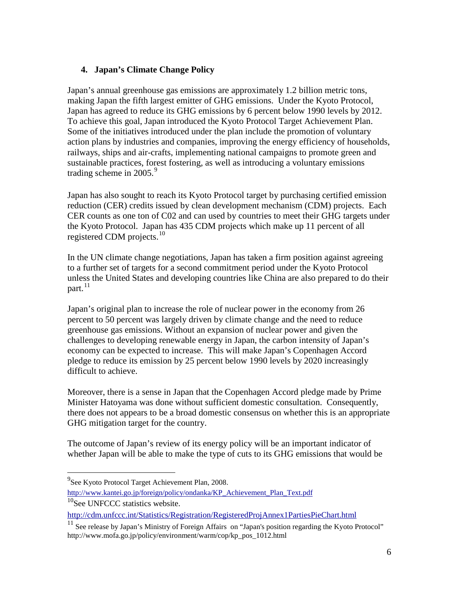# **4. Japan's Climate Change Policy**

Japan's annual greenhouse gas emissions are approximately 1.2 billion metric tons, making Japan the fifth largest emitter of GHG emissions. Under the Kyoto Protocol, Japan has agreed to reduce its GHG emissions by 6 percent below 1990 levels by 2012. To achieve this goal, Japan introduced the Kyoto Protocol Target Achievement Plan. Some of the initiatives introduced under the plan include the promotion of voluntary action plans by industries and companies, improving the energy efficiency of households, railways, ships and air-crafts, implementing national campaigns to promote green and sustainable practices, forest fostering, as well as introducing a voluntary emissions trading scheme in 2005. [9](#page-6-0)

Japan has also sought to reach its Kyoto Protocol target by purchasing certified emission reduction (CER) credits issued by clean development mechanism (CDM) projects. Each CER counts as one ton of C02 and can used by countries to meet their GHG targets under the Kyoto Protocol. Japan has 435 CDM projects which make up 11 percent of all registered CDM projects. [10](#page-6-1)

In the UN climate change negotiations, Japan has taken a firm position against agreeing to a further set of targets for a second commitment period under the Kyoto Protocol unless the United States and developing countries like China are also prepared to do their part. [11](#page-6-2)

Japan's original plan to increase the role of nuclear power in the economy from 26 percent to 50 percent was largely driven by climate change and the need to reduce greenhouse gas emissions. Without an expansion of nuclear power and given the challenges to developing renewable energy in Japan, the carbon intensity of Japan's economy can be expected to increase. This will make Japan's Copenhagen Accord pledge to reduce its emission by 25 percent below 1990 levels by 2020 increasingly difficult to achieve.

Moreover, there is a sense in Japan that the Copenhagen Accord pledge made by Prime Minister Hatoyama was done without sufficient domestic consultation. Consequently, there does not appears to be a broad domestic consensus on whether this is an appropriate GHG mitigation target for the country.

The outcome of Japan's review of its energy policy will be an important indicator of whether Japan will be able to make the type of cuts to its GHG emissions that would be

<span id="page-6-0"></span><sup>&</sup>lt;sup>9</sup><br>See Kyoto Protocol Target Achievement Plan, 2008. [http://www.kantei.go.jp/foreign/policy/ondanka/KP\\_Achievement\\_Plan\\_Text.pdf](http://www.kantei.go.jp/foreign/policy/ondanka/KP_Achievement_Plan_Text.pdf)

<span id="page-6-1"></span> $10$ See UNFCCC statistics website.

<http://cdm.unfccc.int/Statistics/Registration/RegisteredProjAnnex1PartiesPieChart.html>

<span id="page-6-2"></span><sup>&</sup>lt;sup>11</sup> See release by Japan's Ministry of Foreign Affairs on "Japan's position regarding the Kyoto Protocol" http://www.mofa.go.jp/policy/environment/warm/cop/kp\_pos\_1012.html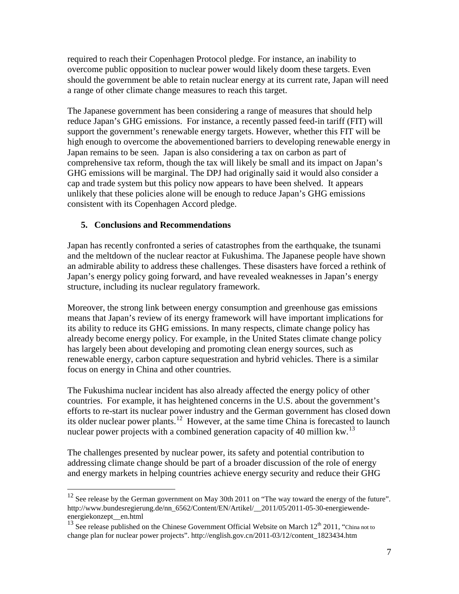required to reach their Copenhagen Protocol pledge. For instance, an inability to overcome public opposition to nuclear power would likely doom these targets. Even should the government be able to retain nuclear energy at its current rate, Japan will need a range of other climate change measures to reach this target.

The Japanese government has been considering a range of measures that should help reduce Japan's GHG emissions. For instance, a recently passed feed-in tariff (FIT) will support the government's renewable energy targets. However, whether this FIT will be high enough to overcome the abovementioned barriers to developing renewable energy in Japan remains to be seen. Japan is also considering a tax on carbon as part of comprehensive tax reform, though the tax will likely be small and its impact on Japan's GHG emissions will be marginal. The DPJ had originally said it would also consider a cap and trade system but this policy now appears to have been shelved. It appears unlikely that these policies alone will be enough to reduce Japan's GHG emissions consistent with its Copenhagen Accord pledge.

### **5. Conclusions and Recommendations**

Japan has recently confronted a series of catastrophes from the earthquake, the tsunami and the meltdown of the nuclear reactor at Fukushima. The Japanese people have shown an admirable ability to address these challenges. These disasters have forced a rethink of Japan's energy policy going forward, and have revealed weaknesses in Japan's energy structure, including its nuclear regulatory framework.

Moreover, the strong link between energy consumption and greenhouse gas emissions means that Japan's review of its energy framework will have important implications for its ability to reduce its GHG emissions. In many respects, climate change policy has already become energy policy. For example, in the United States climate change policy has largely been about developing and promoting clean energy sources, such as renewable energy, carbon capture sequestration and hybrid vehicles. There is a similar focus on energy in China and other countries.

The Fukushima nuclear incident has also already affected the energy policy of other countries. For example, it has heightened concerns in the U.S. about the government's efforts to re-start its nuclear power industry and the German government has closed down its older nuclear power plants.<sup>[12](#page-7-0)</sup> However, at the same time China is forecasted to launch nuclear power projects with a combined generation capacity of 40 million kw.<sup>[13](#page-7-1)</sup>

The challenges presented by nuclear power, its safety and potential contribution to addressing climate change should be part of a broader discussion of the role of energy and energy markets in helping countries achieve energy security and reduce their GHG

<span id="page-7-0"></span><sup>&</sup>lt;sup>12</sup> See release by the German government on May 30th 2011 on "The way toward the energy of the future". http://www.bundesregierung.de/nn\_6562/Content/EN/Artikel/\_\_2011/05/2011-05-30-energiewendeenergiekonzept\_\_en.html

<span id="page-7-1"></span><sup>&</sup>lt;sup>13</sup> See release published on the Chinese Government Official Website on March  $12<sup>th</sup> 2011$ , "China not to change plan for nuclear power projects". http://english.gov.cn/2011-03/12/content\_1823434.htm